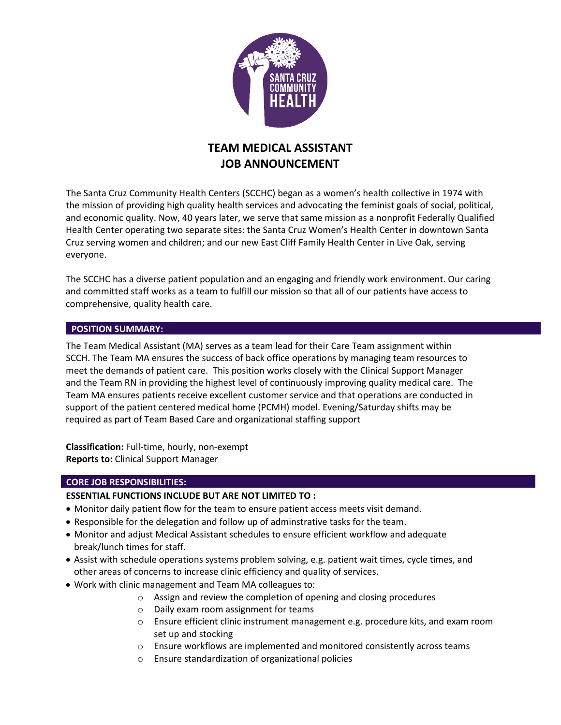

# **TEAM MEDICAL ASSISTANT JOB ANNOUNCEMENT**

The Santa Cruz Community Health Centers (SCCHC) began as a women's health collective in 1974 with the mission of providing high quality health services and advocating the feminist goals of social, political, and economic quality. Now, 40 years later, we serve that same mission as a nonprofit Federally Qualified Health Center operating two separate sites: the Santa Cruz Women's Health Center in downtown Santa Cruz serving women and children; and our new East Cliff Family Health Center in Live Oak, serving everyone.

The SCCHC has a diverse patient population and an engaging and friendly work environment. Our caring and committed staff works as a team to fulfill our mission so that all of our patients have access to comprehensive, quality health care.

# **POSITION SUMMARY:**

The Team Medical Assistant (MA) serves as a team lead for their Care Team assignment within SCCH. The Team MA ensures the success of back office operations by managing team resources to meet the demands of patient care. This position works closely with the Clinical Support Manager and the Team RN in providing the highest level of continuously improving quality medical care. The Team MA ensures patients receive excellent customer service and that operations are conducted in support of the patient centered medical home (PCMH) model. Evening/Saturday shifts may be required as part of Team Based Care and organizational staffing support

**Classification:** Full-time, hourly, non-exempt **Reports to:** Clinical Support Manager

#### **CORE JOB RESPONSIBILITIES:**

#### **ESSENTIAL FUNCTIONS INCLUDE BUT ARE NOT LIMITED TO :**

- Monitor daily patient flow for the team to ensure patient access meets visit demand.
- Responsible for the delegation and follow up of adminstrative tasks for the team.
- Monitor and adjust Medical Assistant schedules to ensure efficient workflow and adequate break/lunch times for staff.
- Assist with schedule operations systems problem solving, e.g. patient wait times, cycle times, and other areas of concerns to increase clinic efficiency and quality of services.
- Work with clinic management and Team MA colleagues to:
	- o Assign and review the completion of opening and closing procedures
	- o Daily exam room assignment for teams
	- o Ensure efficient clinic instrument management e.g. procedure kits, and exam room set up and stocking
	- o Ensure workflows are implemented and monitored consistently across teams
	- o Ensure standardization of organizational policies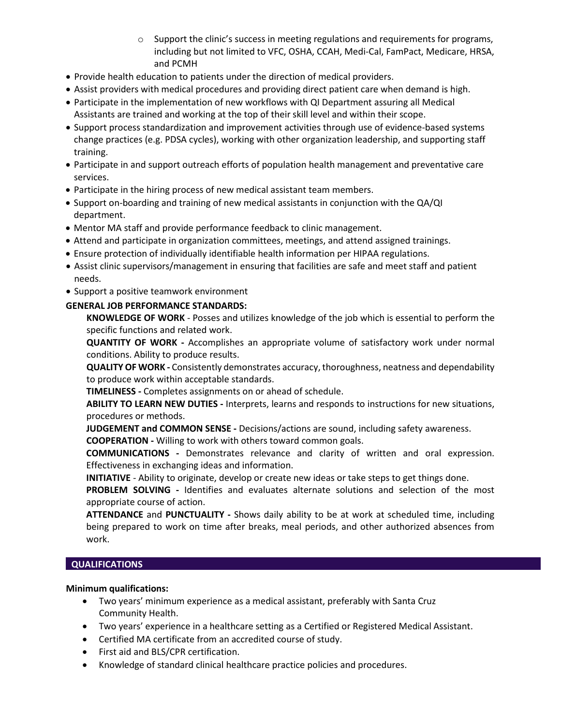- $\circ$  Support the clinic's success in meeting regulations and requirements for programs, including but not limited to VFC, OSHA, CCAH, Medi-Cal, FamPact, Medicare, HRSA, and PCMH
- Provide health education to patients under the direction of medical providers.
- Assist providers with medical procedures and providing direct patient care when demand is high.
- Participate in the implementation of new workflows with QI Department assuring all Medical Assistants are trained and working at the top of their skill level and within their scope.
- Support process standardization and improvement activities through use of evidence-based systems change practices (e.g. PDSA cycles), working with other organization leadership, and supporting staff training.
- Participate in and support outreach efforts of population health management and preventative care services.
- Participate in the hiring process of new medical assistant team members.
- Support on-boarding and training of new medical assistants in conjunction with the QA/QI department.
- Mentor MA staff and provide performance feedback to clinic management.
- Attend and participate in organization committees, meetings, and attend assigned trainings.
- Ensure protection of individually identifiable health information per HIPAA regulations.
- Assist clinic supervisors/management in ensuring that facilities are safe and meet staff and patient needs.
- Support a positive teamwork environment

# **GENERAL JOB PERFORMANCE STANDARDS:**

**KNOWLEDGE OF WORK** - Posses and utilizes knowledge of the job which is essential to perform the specific functions and related work.

**QUANTITY OF WORK -** Accomplishes an appropriate volume of satisfactory work under normal conditions. Ability to produce results.

**QUALITYOF WORK -** Consistently demonstrates accuracy,thoroughness, neatness and dependability to produce work within acceptable standards.

**TIMELINESS -** Completes assignments on or ahead of schedule.

**ABILITY TO LEARN NEW DUTIES -** Interprets, learns and responds to instructions for new situations, procedures or methods.

**JUDGEMENT and COMMON SENSE -** Decisions/actions are sound, including safety awareness.

**COOPERATION -** Willing to work with others toward common goals.

**COMMUNICATIONS -** Demonstrates relevance and clarity of written and oral expression. Effectiveness in exchanging ideas and information.

**INITIATIVE** *-* Ability to originate, develop or create new ideas or take steps to get things done.

**PROBLEM SOLVING -** Identifies and evaluates alternate solutions and selection of the most appropriate course of action.

**ATTENDANCE** and **PUNCTUALITY -** Shows daily ability to be at work at scheduled time, including being prepared to work on time after breaks, meal periods, and other authorized absences from work.

#### **QUALIFICATIONS**

#### **Minimum qualifications:**

- Two years' minimum experience as a medical assistant, preferably with Santa Cruz Community Health.
- Two years' experience in a healthcare setting as a Certified or Registered Medical Assistant.
- Certified MA certificate from an accredited course of study.
- First aid and BLS/CPR certification.
- Knowledge of standard clinical healthcare practice policies and procedures.